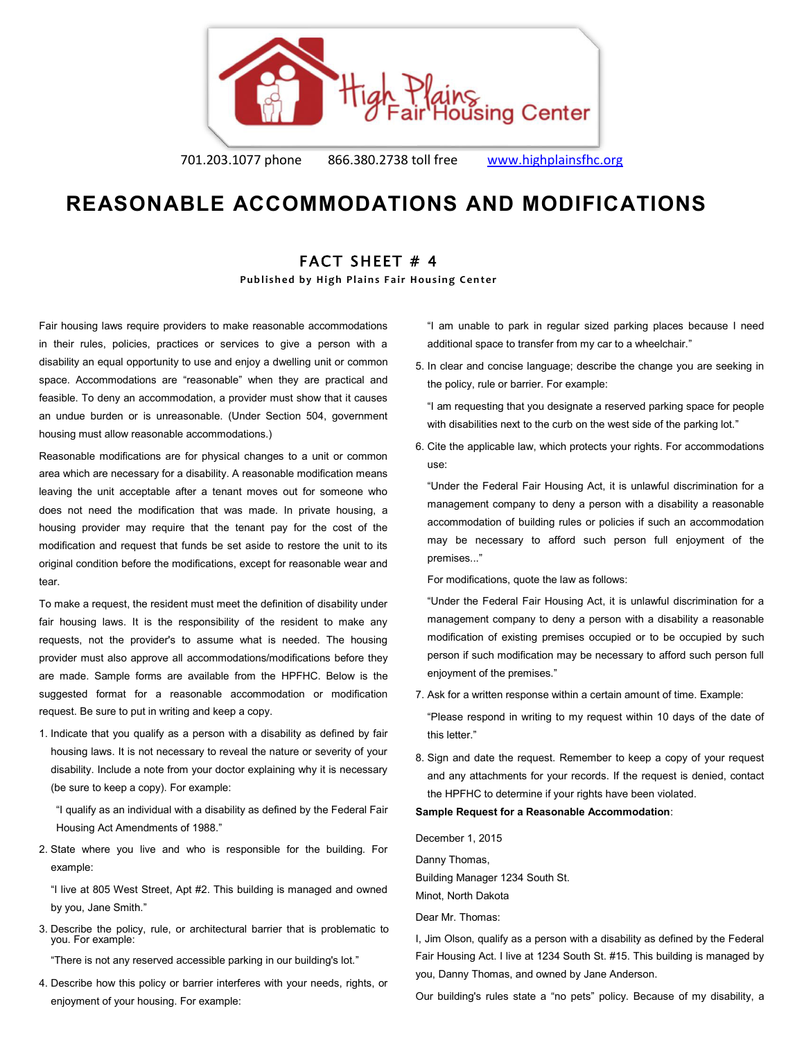

701.203.1077 phone 866.380.2738 toll free [www.highplainsfhc.org](http://www.highplainsfhc.org/)

# **REASONABLE ACCOMMODATIONS AND MODIFICATIONS**

## FACT SHEET # 4

**Published by High Plains Fair Housing Center** 

Fair housing laws require providers to make reasonable accommodations in their rules, policies, practices or services to give a person with a disability an equal opportunity to use and enjoy a dwelling unit or common space. Accommodations are "reasonable" when they are practical and feasible. To deny an accommodation, a provider must show that it causes an undue burden or is unreasonable. (Under Section 504, government housing must allow reasonable accommodations.)

Reasonable modifications are for physical changes to a unit or common area which are necessary for a disability. A reasonable modification means leaving the unit acceptable after a tenant moves out for someone who does not need the modification that was made. In private housing, a housing provider may require that the tenant pay for the cost of the modification and request that funds be set aside to restore the unit to its original condition before the modifications, except for reasonable wear and tear.

To make a request, the resident must meet the definition of disability under fair housing laws. It is the responsibility of the resident to make any requests, not the provider's to assume what is needed. The housing provider must also approve all accommodations/modifications before they are made. Sample forms are available from the HPFHC. Below is the suggested format for a reasonable accommodation or modification request. Be sure to put in writing and keep a copy.

1. Indicate that you qualify as a person with a disability as defined by fair housing laws. It is not necessary to reveal the nature or severity of your disability. Include a note from your doctor explaining why it is necessary (be sure to keep a copy). For example:

"I qualify as an individual with a disability as defined by the Federal Fair Housing Act Amendments of 1988."

2. State where you live and who is responsible for the building. For example:

"I live at 805 West Street, Apt #2. This building is managed and owned by you, Jane Smith."

3. Describe the policy, rule, or architectural barrier that is problematic to you. For example:

"There is not any reserved accessible parking in our building's lot."

4. Describe how this policy or barrier interferes with your needs, rights, or enjoyment of your housing. For example:

"I am unable to park in regular sized parking places because I need additional space to transfer from my car to a wheelchair."

5. In clear and concise language; describe the change you are seeking in the policy, rule or barrier. For example:

"I am requesting that you designate a reserved parking space for people with disabilities next to the curb on the west side of the parking lot."

6. Cite the applicable law, which protects your rights. For accommodations use:

"Under the Federal Fair Housing Act, it is unlawful discrimination for a management company to deny a person with a disability a reasonable accommodation of building rules or policies if such an accommodation may be necessary to afford such person full enjoyment of the premises..."

For modifications, quote the law as follows:

"Under the Federal Fair Housing Act, it is unlawful discrimination for a management company to deny a person with a disability a reasonable modification of existing premises occupied or to be occupied by such person if such modification may be necessary to afford such person full enjoyment of the premises."

7. Ask for a written response within a certain amount of time. Example:

"Please respond in writing to my request within 10 days of the date of this letter."

8. Sign and date the request. Remember to keep a copy of your request and any attachments for your records. If the request is denied, contact the HPFHC to determine if your rights have been violated.

### **Sample Request for a Reasonable Accommodation**:

December 1, 2015 Danny Thomas, Building Manager 1234 South St.

Minot, North Dakota

Dear Mr. Thomas:

I, Jim Olson, qualify as a person with a disability as defined by the Federal Fair Housing Act. I live at 1234 South St. #15. This building is managed by you, Danny Thomas, and owned by Jane Anderson.

Our building's rules state a "no pets" policy. Because of my disability, a